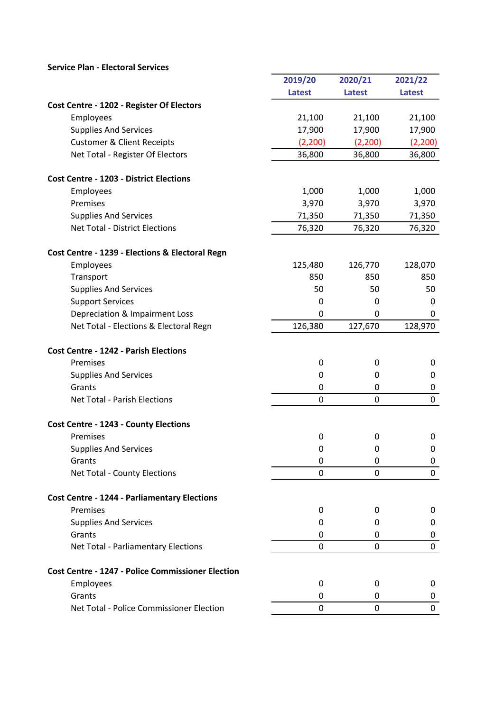## Service Plan - Electoral Services

|                                                          | 2019/20          | 2020/21       | 2021/22          |
|----------------------------------------------------------|------------------|---------------|------------------|
|                                                          | <b>Latest</b>    | <b>Latest</b> | <b>Latest</b>    |
| Cost Centre - 1202 - Register Of Electors                |                  |               |                  |
| Employees                                                | 21,100           | 21,100        | 21,100           |
| <b>Supplies And Services</b>                             | 17,900           | 17,900        | 17,900           |
| <b>Customer &amp; Client Receipts</b>                    | (2,200)          | (2,200)       | (2,200)          |
| Net Total - Register Of Electors                         | 36,800           | 36,800        | 36,800           |
| <b>Cost Centre - 1203 - District Elections</b>           |                  |               |                  |
| Employees                                                | 1,000            | 1,000         | 1,000            |
| Premises                                                 | 3,970            | 3,970         | 3,970            |
| <b>Supplies And Services</b>                             | 71,350           | 71,350        | 71,350           |
| <b>Net Total - District Elections</b>                    | 76,320           | 76,320        | 76,320           |
| Cost Centre - 1239 - Elections & Electoral Regn          |                  |               |                  |
| Employees                                                | 125,480          | 126,770       | 128,070          |
| Transport                                                | 850              | 850           | 850              |
| <b>Supplies And Services</b>                             | 50               | 50            | 50               |
| <b>Support Services</b>                                  | 0                | 0             | 0                |
| Depreciation & Impairment Loss                           | 0                | $\Omega$      | 0                |
| Net Total - Elections & Electoral Regn                   | 126,380          | 127,670       | 128,970          |
| <b>Cost Centre - 1242 - Parish Elections</b>             |                  |               |                  |
| Premises                                                 | $\mathbf 0$      | 0             | 0                |
| <b>Supplies And Services</b>                             | $\mathbf 0$      | 0             | $\mathbf 0$      |
| Grants                                                   | $\boldsymbol{0}$ | 0             | 0                |
| <b>Net Total - Parish Elections</b>                      | $\mathbf 0$      | 0             | $\boldsymbol{0}$ |
| <b>Cost Centre - 1243 - County Elections</b>             |                  |               |                  |
| Premises                                                 | $\mathbf 0$      | 0             | 0                |
| <b>Supplies And Services</b>                             | $\mathbf 0$      | 0             | 0                |
| Grants                                                   | $\mathbf 0$      | 0             | 0                |
| Net Total - County Elections                             | $\mathbf 0$      | $\mathbf{0}$  | 0                |
| <b>Cost Centre - 1244 - Parliamentary Elections</b>      |                  |               |                  |
| Premises                                                 | 0                | 0             | 0                |
| <b>Supplies And Services</b>                             | 0                | 0             | 0                |
| Grants                                                   | 0                | 0             | 0                |
| Net Total - Parliamentary Elections                      | $\mathbf 0$      | 0             | 0                |
| <b>Cost Centre - 1247 - Police Commissioner Election</b> |                  |               |                  |
| Employees                                                | $\mathbf 0$      | 0             | 0                |
| Grants                                                   | 0                | 0             | 0                |
| Net Total - Police Commissioner Election                 | $\mathbf 0$      | 0             | 0                |